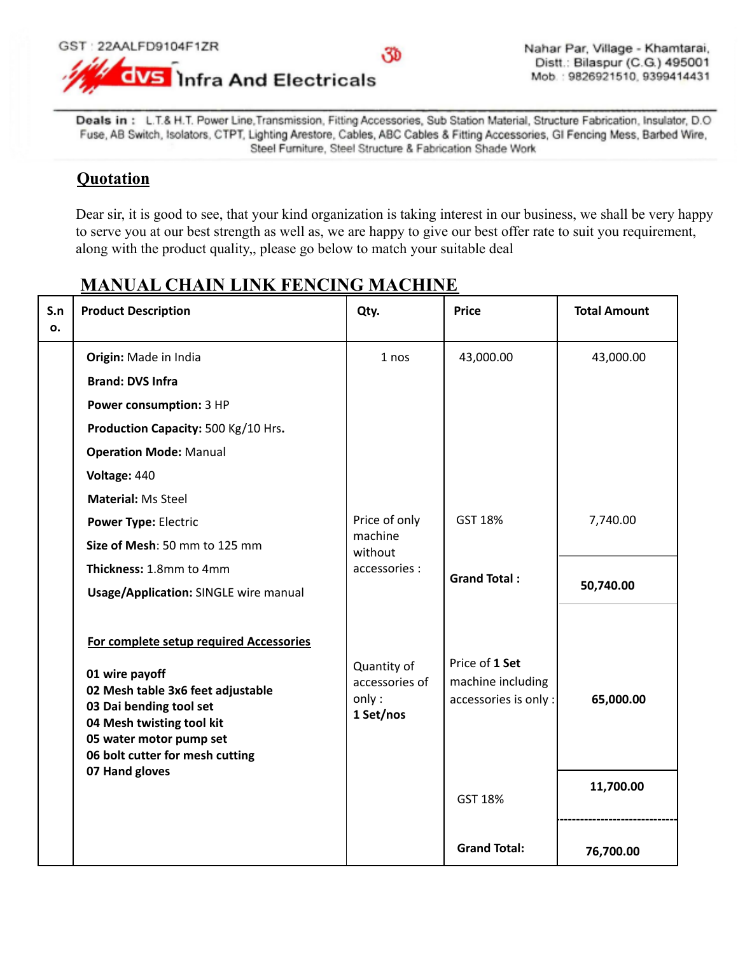

Deals in: L.T.& H.T. Power Line, Transmission, Fitting Accessories, Sub Station Material, Structure Fabrication, Insulator, D.O. Fuse, AB Switch, Isolators, CTPT, Lighting Arestore, Cables, ABC Cables & Fitting Accessories, GI Fencing Mess, Barbed Wire, Steel Furniture, Steel Structure & Fabrication Shade Work

## **Quotation**

Dear sir, it is good to see, that your kind organization is taking interest in our business, we shall be very happy to serve you at our best strength as well as, we are happy to give our best offer rate to suit you requirement, along with the product quality,, please go below to match your suitable deal

| S.n<br>0. | <b>Product Description</b>                                                                                                                                                                                                             | Qty.                                                 | <b>Price</b>                                                 | <b>Total Amount</b> |
|-----------|----------------------------------------------------------------------------------------------------------------------------------------------------------------------------------------------------------------------------------------|------------------------------------------------------|--------------------------------------------------------------|---------------------|
|           | Origin: Made in India<br><b>Brand: DVS Infra</b>                                                                                                                                                                                       | 1 nos                                                | 43,000.00                                                    | 43,000.00           |
|           | Power consumption: 3 HP                                                                                                                                                                                                                |                                                      |                                                              |                     |
|           | Production Capacity: 500 Kg/10 Hrs.<br><b>Operation Mode: Manual</b><br>Voltage: 440                                                                                                                                                   |                                                      |                                                              |                     |
|           | <b>Material: Ms Steel</b><br><b>Power Type: Electric</b><br>Size of Mesh: 50 mm to 125 mm<br>Thickness: 1.8mm to 4mm<br><b>Usage/Application: SINGLE wire manual</b>                                                                   | Price of only<br>machine<br>without<br>accessories : | GST 18%                                                      | 7,740.00            |
|           |                                                                                                                                                                                                                                        |                                                      | <b>Grand Total:</b>                                          | 50,740.00           |
|           | For complete setup required Accessories<br>01 wire payoff<br>02 Mesh table 3x6 feet adjustable<br>03 Dai bending tool set<br>04 Mesh twisting tool kit<br>05 water motor pump set<br>06 bolt cutter for mesh cutting<br>07 Hand gloves | Quantity of<br>accessories of<br>only:<br>1 Set/nos  | Price of 1 Set<br>machine including<br>accessories is only : | 65,000.00           |
|           |                                                                                                                                                                                                                                        |                                                      | GST 18%                                                      | 11,700.00           |
|           |                                                                                                                                                                                                                                        |                                                      | <b>Grand Total:</b>                                          | 76,700.00           |

## **MANUAL CHAIN LINK FENCING MACHINE**